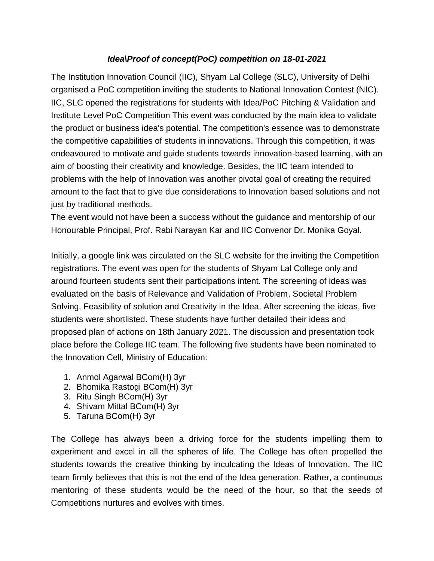## *Idea\Proof of concept(PoC) competition on 18-01-2021*

The Institution Innovation Council (IIC), Shyam Lal College (SLC), University of Delhi organised a PoC competition inviting the students to National Innovation Contest (NIC). IIC, SLC opened the registrations for students with Idea/PoC Pitching & Validation and Institute Level PoC Competition This event was conducted by the main idea to validate the product or business idea's potential. The competition's essence was to demonstrate the competitive capabilities of students in innovations. Through this competition, it was endeavoured to motivate and guide students towards innovation-based learning, with an aim of boosting their creativity and knowledge. Besides, the IIC team intended to problems with the help of Innovation was another pivotal goal of creating the required amount to the fact that to give due considerations to Innovation based solutions and not just by traditional methods.

The event would not have been a success without the guidance and mentorship of our Honourable Principal, Prof. Rabi Narayan Kar and IIC Convenor Dr. Monika Goyal.

Initially, a google link was circulated on the SLC website for the inviting the Competition registrations. The event was open for the students of Shyam Lal College only and around fourteen students sent their participations intent. The screening of ideas was evaluated on the basis of Relevance and Validation of Problem, Societal Problem Solving, Feasibility of solution and Creativity in the Idea. After screening the ideas, five students were shortlisted. These students have further detailed their ideas and proposed plan of actions on 18th January 2021. The discussion and presentation took place before the College IIC team. The following five students have been nominated to the Innovation Cell, Ministry of Education:

- 1. Anmol Agarwal BCom(H) 3yr
- 2. Bhomika Rastogi BCom(H) 3yr
- 3. Ritu Singh BCom(H) 3yr
- 4. Shivam Mittal BCom(H) 3yr
- 5. Taruna BCom(H) 3yr

The College has always been a driving force for the students impelling them to experiment and excel in all the spheres of life. The College has often propelled the students towards the creative thinking by inculcating the Ideas of Innovation. The IIC team firmly believes that this is not the end of the Idea generation. Rather, a continuous mentoring of these students would be the need of the hour, so that the seeds of Competitions nurtures and evolves with times.